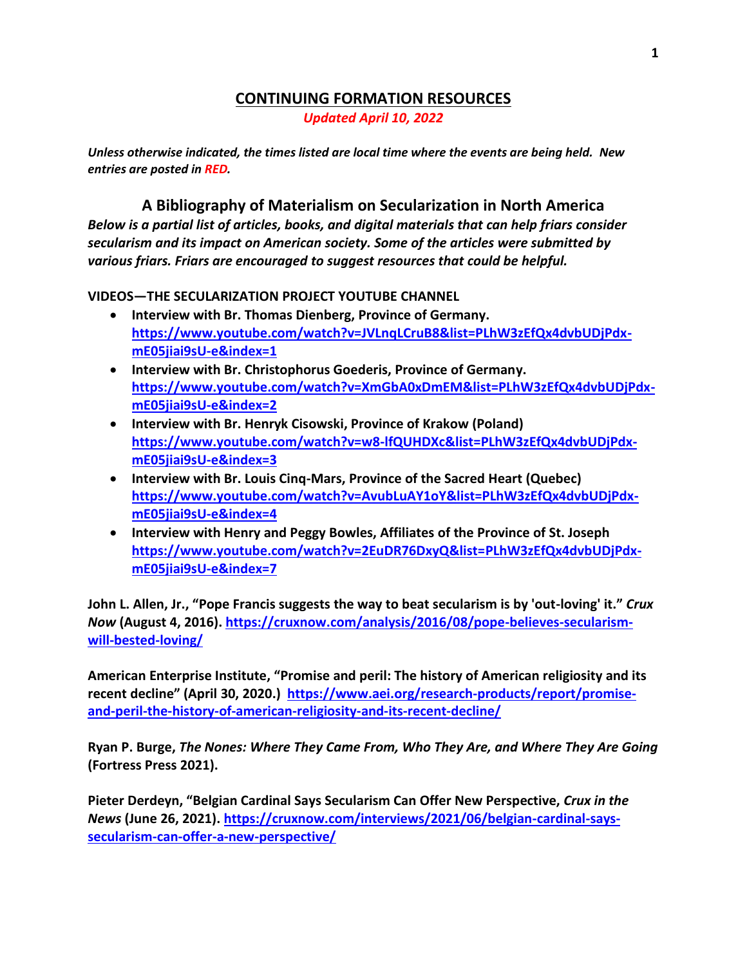## **CONTINUING FORMATION RESOURCES** *Updated April 10, 2022*

*Unless otherwise indicated, the times listed are local time where the events are being held. New entries are posted in RED.*

## **A Bibliography of Materialism on Secularization in North America** *Below is a partial list of articles, books, and digital materials that can help friars consider secularism and its impact on American society. Some of the articles were submitted by*

*various friars. Friars are encouraged to suggest resources that could be helpful.*

**VIDEOS—THE SECULARIZATION PROJECT YOUTUBE CHANNEL**

- **Interview with Br. Thomas Dienberg, Province of Germany. [https://www.youtube.com/watch?v=JVLnqLCruB8&list=PLhW3zEfQx4dvbUDjPdx](https://www.youtube.com/watch?v=JVLnqLCruB8&list=PLhW3zEfQx4dvbUDjPdx-mE05jiai9sU-e&index=1)[mE05jiai9sU-e&index=1](https://www.youtube.com/watch?v=JVLnqLCruB8&list=PLhW3zEfQx4dvbUDjPdx-mE05jiai9sU-e&index=1)**
- **Interview with Br. Christophorus Goederis, Province of Germany. [https://www.youtube.com/watch?v=XmGbA0xDmEM&list=PLhW3zEfQx4dvbUDjPdx](https://www.youtube.com/watch?v=XmGbA0xDmEM&list=PLhW3zEfQx4dvbUDjPdx-mE05jiai9sU-e&index=2)[mE05jiai9sU-e&index=2](https://www.youtube.com/watch?v=XmGbA0xDmEM&list=PLhW3zEfQx4dvbUDjPdx-mE05jiai9sU-e&index=2)**
- **Interview with Br. Henryk Cisowski, Province of Krakow (Poland) [https://www.youtube.com/watch?v=w8-lfQUHDXc&list=PLhW3zEfQx4dvbUDjPdx](https://www.youtube.com/watch?v=w8-lfQUHDXc&list=PLhW3zEfQx4dvbUDjPdx-mE05jiai9sU-e&index=3)[mE05jiai9sU-e&index=3](https://www.youtube.com/watch?v=w8-lfQUHDXc&list=PLhW3zEfQx4dvbUDjPdx-mE05jiai9sU-e&index=3)**
- **Interview with Br. Louis Cinq-Mars, Province of the Sacred Heart (Quebec) [https://www.youtube.com/watch?v=AvubLuAY1oY&list=PLhW3zEfQx4dvbUDjPdx](https://www.youtube.com/watch?v=AvubLuAY1oY&list=PLhW3zEfQx4dvbUDjPdx-mE05jiai9sU-e&index=4)[mE05jiai9sU-e&index=4](https://www.youtube.com/watch?v=AvubLuAY1oY&list=PLhW3zEfQx4dvbUDjPdx-mE05jiai9sU-e&index=4)**
- **Interview with Henry and Peggy Bowles, Affiliates of the Province of St. Joseph [https://www.youtube.com/watch?v=2EuDR76DxyQ&list=PLhW3zEfQx4dvbUDjPdx](https://www.youtube.com/watch?v=2EuDR76DxyQ&list=PLhW3zEfQx4dvbUDjPdx-mE05jiai9sU-e&index=7)[mE05jiai9sU-e&index=7](https://www.youtube.com/watch?v=2EuDR76DxyQ&list=PLhW3zEfQx4dvbUDjPdx-mE05jiai9sU-e&index=7)**

**John L. Allen, Jr., "Pope Francis suggests the way to beat secularism is by 'out-loving' it."** *Crux Now* **(August 4, 2016). [https://cruxnow.com/analysis/2016/08/pope-believes-secularism](https://cruxnow.com/analysis/2016/08/pope-believes-secularism-will-bested-loving/)[will-bested-loving/](https://cruxnow.com/analysis/2016/08/pope-believes-secularism-will-bested-loving/)**

**American Enterprise Institute, "Promise and peril: The history of American religiosity and its recent decline" (April 30, 2020.) [https://www.aei.org/research-products/report/promise](https://www.aei.org/research-products/report/promise-and-peril-the-history-of-american-religiosity-and-its-recent-decline/)[and-peril-the-history-of-american-religiosity-and-its-recent-decline/](https://www.aei.org/research-products/report/promise-and-peril-the-history-of-american-religiosity-and-its-recent-decline/)**

**Ryan P. Burge,** *The Nones: Where They Came From, Who They Are, and Where They Are Going* **(Fortress Press 2021).**

**Pieter Derdeyn, "Belgian Cardinal Says Secularism Can Offer New Perspective,** *Crux in the News* **(June 26, 2021). [https://cruxnow.com/interviews/2021/06/belgian-cardinal-says](https://cruxnow.com/interviews/2021/06/belgian-cardinal-says-secularism-can-offer-a-new-perspective/)[secularism-can-offer-a-new-perspective/](https://cruxnow.com/interviews/2021/06/belgian-cardinal-says-secularism-can-offer-a-new-perspective/)**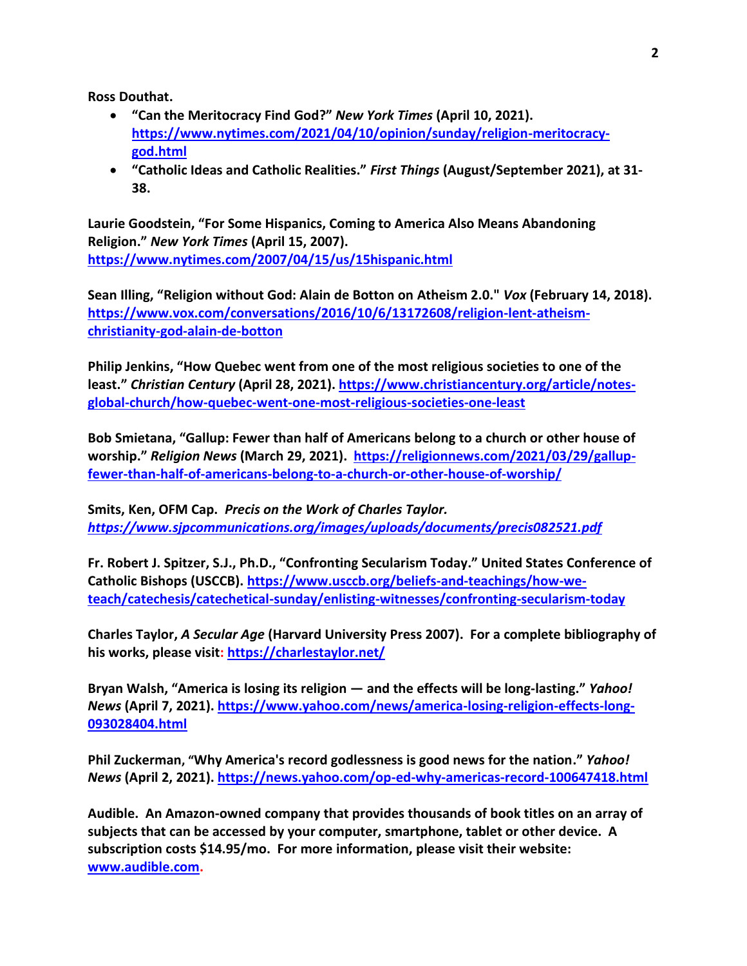**Ross Douthat.**

- **"Can the Meritocracy Find God?"** *New York Times* **(April 10, 2021). [https://www.nytimes.com/2021/04/10/opinion/sunday/religion-meritocracy](https://www.nytimes.com/2021/04/10/opinion/sunday/religion-meritocracy-god.html)[god.html](https://www.nytimes.com/2021/04/10/opinion/sunday/religion-meritocracy-god.html)**
- **"Catholic Ideas and Catholic Realities."** *First Things* **(August/September 2021), at 31- 38.**

**Laurie Goodstein, "For Some Hispanics, Coming to America Also Means Abandoning Religion."** *New York Times* **(April 15, 2007). <https://www.nytimes.com/2007/04/15/us/15hispanic.html>**

**Sean Illing, "Religion without God: Alain de Botton on Atheism 2.0."** *Vox* **(February 14, 2018). [https://www.vox.com/conversations/2016/10/6/13172608/religion-lent-atheism](https://www.vox.com/conversations/2016/10/6/13172608/religion-lent-atheism-christianity-god-alain-de-botton)[christianity-god-alain-de-botton](https://www.vox.com/conversations/2016/10/6/13172608/religion-lent-atheism-christianity-god-alain-de-botton)**

**Philip Jenkins, "How Quebec went from one of the most religious societies to one of the least."** *Christian Century* **(April 28, 2021)[. https://www.christiancentury.org/article/notes](https://www.christiancentury.org/article/notes-global-church/how-quebec-went-one-most-religious-societies-one-least)[global-church/how-quebec-went-one-most-religious-societies-one-least](https://www.christiancentury.org/article/notes-global-church/how-quebec-went-one-most-religious-societies-one-least)**

**Bob Smietana, "Gallup: Fewer than half of Americans belong to a church or other house of worship."** *Religion News* **(March 29, 2021). [https://religionnews.com/2021/03/29/gallup](https://religionnews.com/2021/03/29/gallup-fewer-than-half-of-americans-belong-to-a-church-or-other-house-of-worship/)[fewer-than-half-of-americans-belong-to-a-church-or-other-house-of-worship/](https://religionnews.com/2021/03/29/gallup-fewer-than-half-of-americans-belong-to-a-church-or-other-house-of-worship/)**

**Smits, Ken, OFM Cap.** *Precis on the Work of Charles Taylor. <https://www.sjpcommunications.org/images/uploads/documents/precis082521.pdf>*

**Fr. Robert J. Spitzer, S.J., Ph.D., "Confronting Secularism Today." United States Conference of Catholic Bishops (USCCB). [https://www.usccb.org/beliefs-and-teachings/how-we](https://www.usccb.org/beliefs-and-teachings/how-we-teach/catechesis/catechetical-sunday/enlisting-witnesses/confronting-secularism-today)[teach/catechesis/catechetical-sunday/enlisting-witnesses/confronting-secularism-today](https://www.usccb.org/beliefs-and-teachings/how-we-teach/catechesis/catechetical-sunday/enlisting-witnesses/confronting-secularism-today)**

**Charles Taylor,** *A Secular Age* **(Harvard University Press 2007). For a complete bibliography of his works, please visit:<https://charlestaylor.net/>**

**Bryan Walsh, "America is losing its religion — and the effects will be long-lasting."** *Yahoo! News* **(April 7, 2021). [https://www.yahoo.com/news/america-losing-religion-effects-long-](https://www.yahoo.com/news/america-losing-religion-effects-long-093028404.html)[093028404.html](https://www.yahoo.com/news/america-losing-religion-effects-long-093028404.html)**

**Phil Zuckerman, "Why America's record godlessness is good news for the nation."** *Yahoo! News* **(April 2, 2021).<https://news.yahoo.com/op-ed-why-americas-record-100647418.html>**

**Audible. An Amazon-owned company that provides thousands of book titles on an array of subjects that can be accessed by your computer, smartphone, tablet or other device. A subscription costs \$14.95/mo. For more information, please visit their website: [www.audible.com.](http://www.audible.com/)**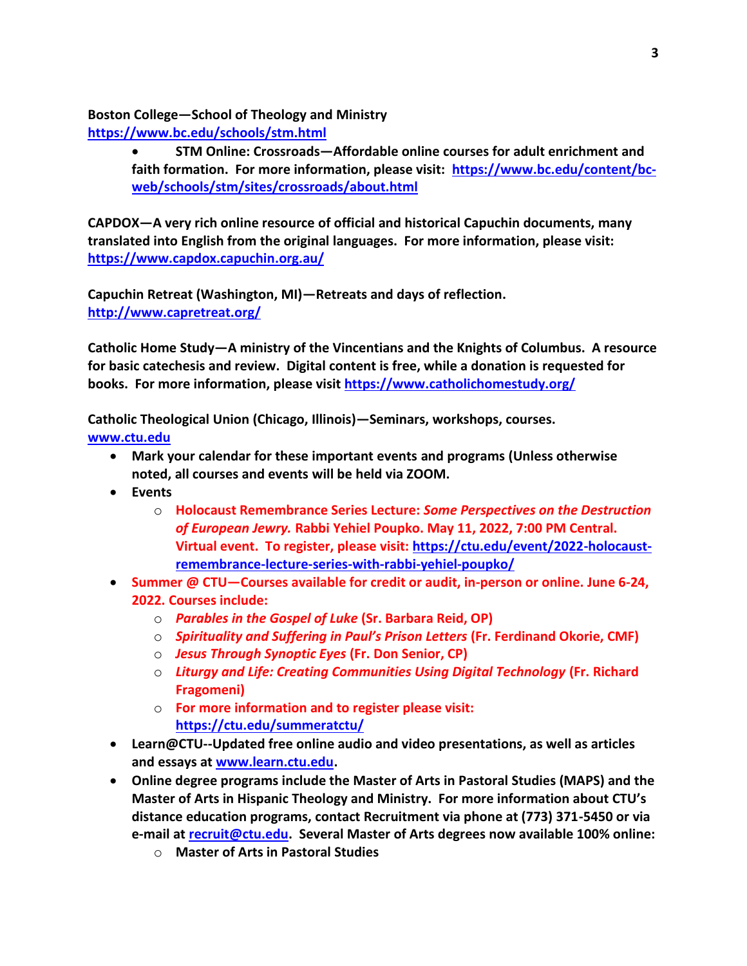**Boston College—School of Theology and Ministry**

**<https://www.bc.edu/schools/stm.html>**

• **STM Online: Crossroads—Affordable online courses for adult enrichment and faith formation. For more information, please visit: [https://www.bc.edu/content/bc](https://www.bc.edu/content/bc-web/schools/stm/sites/crossroads/about.html)[web/schools/stm/sites/crossroads/about.html](https://www.bc.edu/content/bc-web/schools/stm/sites/crossroads/about.html)**

**CAPDOX—A very rich online resource of official and historical Capuchin documents, many translated into English from the original languages. For more information, please visit: <https://www.capdox.capuchin.org.au/>**

**Capuchin Retreat (Washington, MI)—Retreats and days of reflection. <http://www.capretreat.org/>**

**Catholic Home Study—A ministry of the Vincentians and the Knights of Columbus. A resource for basic catechesis and review. Digital content is free, while a donation is requested for books. For more information, please visit<https://www.catholichomestudy.org/>**

**Catholic Theological Union (Chicago, Illinois)—Seminars, workshops, courses. [www.ctu.edu](http://www.ctu.edu/)**

- **Mark your calendar for these important events and programs (Unless otherwise noted, all courses and events will be held via ZOOM.**
- **Events**
	- o **Holocaust Remembrance Series Lecture:** *Some Perspectives on the Destruction of European Jewry.* **Rabbi Yehiel Poupko. May 11, 2022, 7:00 PM Central. Virtual event. To register, please visit: [https://ctu.edu/event/2022-holocaust](https://ctu.edu/event/2022-holocaust-remembrance-lecture-series-with-rabbi-yehiel-poupko/)[remembrance-lecture-series-with-rabbi-yehiel-poupko/](https://ctu.edu/event/2022-holocaust-remembrance-lecture-series-with-rabbi-yehiel-poupko/)**
- **Summer @ CTU—Courses available for credit or audit, in-person or online. June 6-24, 2022. Courses include:**
	- o *Parables in the Gospel of Luke* **(Sr. Barbara Reid, OP)**
	- o *Spirituality and Suffering in Paul's Prison Letters* **(Fr. Ferdinand Okorie, CMF)**
	- o *Jesus Through Synoptic Eyes* **(Fr. Don Senior, CP)**
	- o *Liturgy and Life: Creating Communities Using Digital Technology* **(Fr. Richard Fragomeni)**
	- o **For more information and to register please visit: <https://ctu.edu/summeratctu/>**
- **Learn@CTU--Updated free online audio and video presentations, as well as articles and essays at [www.learn.ctu.edu.](http://www.learn.ctu.edu/)**
- **Online degree programs include the Master of Arts in Pastoral Studies (MAPS) and the Master of Arts in Hispanic Theology and Ministry. For more information about CTU's distance education programs, contact Recruitment via phone at (773) 371-5450 or via e-mail at [recruit@ctu.edu.](mailto:recruit@ctu.edu) Several Master of Arts degrees now available 100% online:**
	- o **Master of Arts in Pastoral Studies**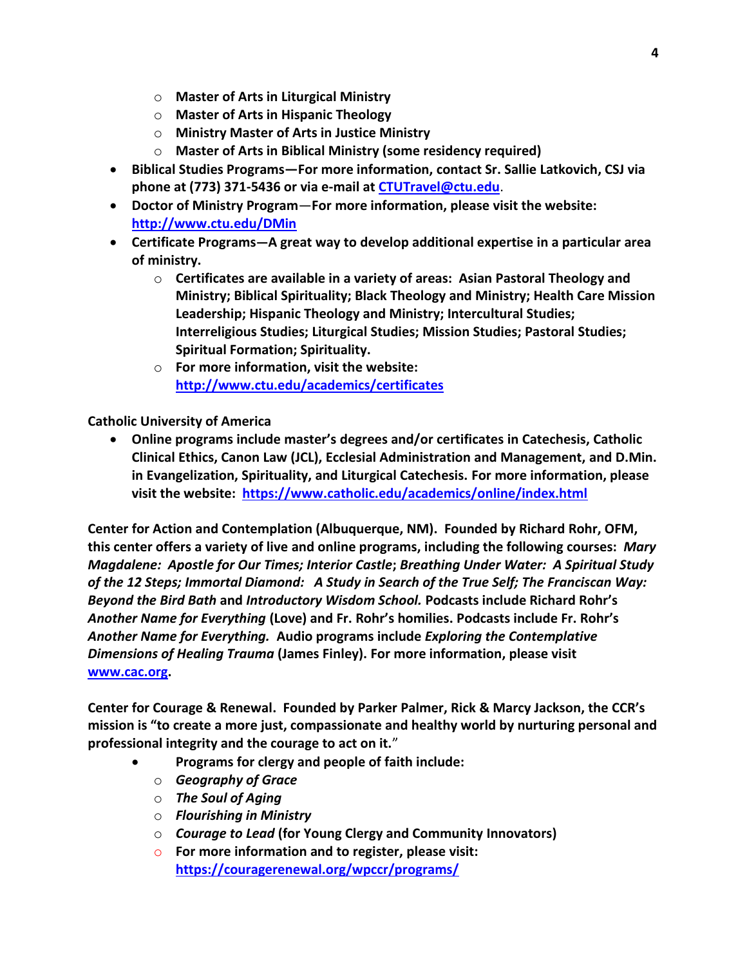- o **Master of Arts in Liturgical Ministry**
- o **Master of Arts in Hispanic Theology**
- o **Ministry Master of Arts in Justice Ministry**
- o **Master of Arts in Biblical Ministry (some residency required)**
- **Biblical Studies Programs—For more information, contact Sr. Sallie Latkovich, CSJ via phone at (773) 371-5436 or via e-mail at [CTUTravel@ctu.edu](mailto:CTUTravel@ctu.edu)**.
- **Doctor of Ministry Program**—**For more information, please visit the website: <http://www.ctu.edu/DMin>**
- **Certificate Programs—A great way to develop additional expertise in a particular area of ministry.** 
	- o **Certificates are available in a variety of areas: Asian Pastoral Theology and Ministry; Biblical Spirituality; Black Theology and Ministry; Health Care Mission Leadership; Hispanic Theology and Ministry; Intercultural Studies; Interreligious Studies; Liturgical Studies; Mission Studies; Pastoral Studies; Spiritual Formation; Spirituality.**
	- o **For more information, visit the website: <http://www.ctu.edu/academics/certificates>**

**Catholic University of America**

• **Online programs include master's degrees and/or certificates in Catechesis, Catholic Clinical Ethics, Canon Law (JCL), Ecclesial Administration and Management, and D.Min. in Evangelization, Spirituality, and Liturgical Catechesis. For more information, please visit the website: <https://www.catholic.edu/academics/online/index.html>**

**Center for Action and Contemplation (Albuquerque, NM). Founded by Richard Rohr, OFM, this center offers a variety of live and online programs, including the following courses:** *Mary Magdalene: Apostle for Our Times; Interior Castle***;** *Breathing Under Water: A Spiritual Study of the 12 Steps; Immortal Diamond: A Study in Search of the True Self; The Franciscan Way: Beyond the Bird Bath* **and** *Introductory Wisdom School.* **Podcasts include Richard Rohr's**  *Another Name for Everything* **(Love) and Fr. Rohr's homilies. Podcasts include Fr. Rohr's**  *Another Name for Everything.* **Audio programs include** *Exploring the Contemplative Dimensions of Healing Trauma* **(James Finley). For more information, please visit [www.cac.org.](http://www.cac.org/)** 

**Center for Courage & Renewal. Founded by Parker Palmer, Rick & Marcy Jackson, the CCR's mission is "to create a more just, compassionate and healthy world by nurturing personal and professional integrity and the courage to act on it.**["](http://www.couragerenewal.org/mision-y-valores-del-centro/)

- **Programs for clergy and people of faith include:** 
	- o *Geography of Grace*
	- o *The Soul of Aging*
	- o *Flourishing in Ministry*
	- o *Courage to Lead* **(for Young Clergy and Community Innovators)**
	- o **For more information and to register, please visit: <https://couragerenewal.org/wpccr/programs/>**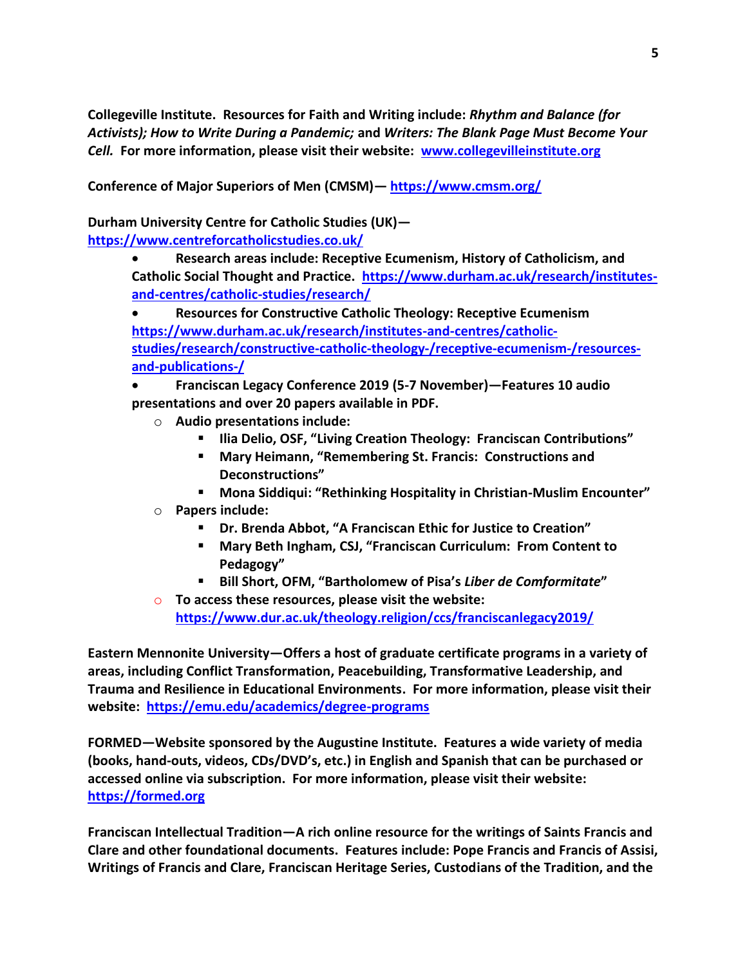**Collegeville Institute. Resources for Faith and Writing include:** *Rhythm and Balance (for Activists); How to Write During a Pandemic;* **and** *Writers: The Blank Page Must Become Your Cell.* **For more information, please visit their website: [www.collegevilleinstitute.org](http://www.collegevilleinstitute.org/)**

**Conference of Major Superiors of Men (CMSM)— <https://www.cmsm.org/>**

**Durham University Centre for Catholic Studies (UK) <https://www.centreforcatholicstudies.co.uk/>**

> • **Research areas include: Receptive Ecumenism, History of Catholicism, and Catholic Social Thought and Practice. [https://www.durham.ac.uk/research/institutes](https://www.durham.ac.uk/research/institutes-and-centres/catholic-studies/research/)[and-centres/catholic-studies/research/](https://www.durham.ac.uk/research/institutes-and-centres/catholic-studies/research/)**

• **Resources for Constructive Catholic Theology: Receptive Ecumenism [https://www.durham.ac.uk/research/institutes-and-centres/catholic](https://www.durham.ac.uk/research/institutes-and-centres/catholic-studies/research/constructive-catholic-theology-/receptive-ecumenism-/resources-and-publications-/)[studies/research/constructive-catholic-theology-/receptive-ecumenism-/resources](https://www.durham.ac.uk/research/institutes-and-centres/catholic-studies/research/constructive-catholic-theology-/receptive-ecumenism-/resources-and-publications-/)[and-publications-/](https://www.durham.ac.uk/research/institutes-and-centres/catholic-studies/research/constructive-catholic-theology-/receptive-ecumenism-/resources-and-publications-/)**

• **Franciscan Legacy Conference 2019 (5-7 November)—Features 10 audio presentations and over 20 papers available in PDF.** 

- o **Audio presentations include:**
	- **Ilia Delio, OSF, "Living Creation Theology: Franciscan Contributions"**
	- **Mary Heimann, "Remembering St. Francis: Constructions and Deconstructions"**
	- **Mona Siddiqui: "Rethinking Hospitality in Christian-Muslim Encounter"**
- o **Papers include:** 
	- **Dr. Brenda Abbot, "A Franciscan Ethic for Justice to Creation"**
	- **Mary Beth Ingham, CSJ, "Franciscan Curriculum: From Content to Pedagogy"**
	- **Bill Short, OFM, "Bartholomew of Pisa's** *Liber de Comformitate***"**
- o **To access these resources, please visit the website: <https://www.dur.ac.uk/theology.religion/ccs/franciscanlegacy2019/>**

**Eastern Mennonite University—Offers a host of graduate certificate programs in a variety of areas, including Conflict Transformation, Peacebuilding, Transformative Leadership, and Trauma and Resilience in Educational Environments. For more information, please visit their website: <https://emu.edu/academics/degree-programs>**

**FORMED—Website sponsored by the Augustine Institute. Features a wide variety of media (books, hand-outs, videos, CDs/DVD's, etc.) in English and Spanish that can be purchased or accessed online via subscription. For more information, please visit their website: [https://formed.org](https://formed.org/)**

**Franciscan Intellectual Tradition—A rich online resource for the writings of Saints Francis and Clare and other foundational documents. Features include: Pope Francis and Francis of Assisi, Writings of Francis and Clare, Franciscan Heritage Series, Custodians of the Tradition, and the**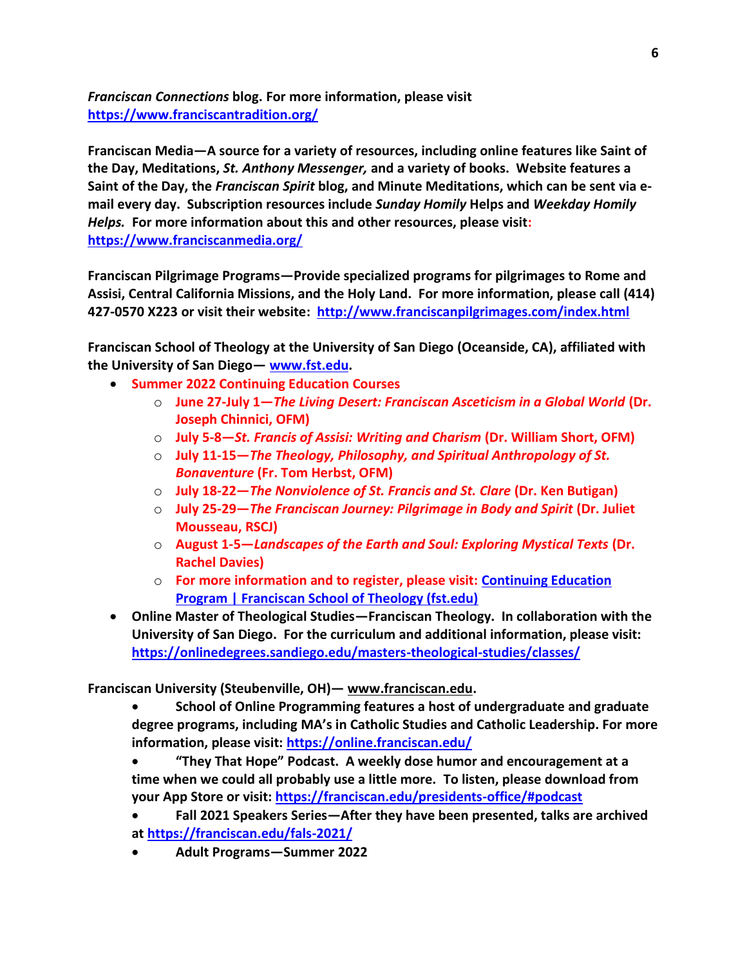*Franciscan Connections* **blog. For more information, please visit <https://www.franciscantradition.org/>**

**Franciscan Media—A source for a variety of resources, including online features like Saint of the Day, Meditations,** *St. Anthony Messenger,* **and a variety of books. Website features a Saint of the Day, the** *Franciscan Spirit* **blog, and Minute Meditations, which can be sent via email every day. Subscription resources include** *Sunday Homily* **Helps and** *Weekday Homily Helps.* **For more information about this and other resources, please visit: <https://www.franciscanmedia.org/>**

**Franciscan Pilgrimage Programs—Provide specialized programs for pilgrimages to Rome and Assisi, Central California Missions, and the Holy Land. For more information, please call (414) 427-0570 X223 or visit their website: <http://www.franciscanpilgrimages.com/index.html>**

**Franciscan School of Theology at the University of San Diego (Oceanside, CA), affiliated with the University of San Diego— [www.fst.edu.](http://www.fst.edu/)** 

- **Summer 2022 Continuing Education Courses**
	- o **June 27-July 1—***The Living Desert: Franciscan Asceticism in a Global World* **(Dr. Joseph Chinnici, OFM)**
	- o **July 5-8—***St. Francis of Assisi: Writing and Charism* **(Dr. William Short, OFM)**
	- o **July 11-15—***The Theology, Philosophy, and Spiritual Anthropology of St. Bonaventure* **(Fr. Tom Herbst, OFM)**
	- o **July 18-22—***The Nonviolence of St. Francis and St. Clare* **(Dr. Ken Butigan)**
	- o **July 25-29—***The Franciscan Journey: Pilgrimage in Body and Spirit* **(Dr. Juliet Mousseau, RSCJ)**
	- o **August 1-5—***Landscapes of the Earth and Soul: Exploring Mystical Texts* **(Dr. Rachel Davies)**
	- o **For more information and to register, please visit: [Continuing Education](https://www.fst.edu/degrees-programs/continuing-education/)  [Program | Franciscan School of Theology \(fst.edu\)](https://www.fst.edu/degrees-programs/continuing-education/)**
- **Online Master of Theological Studies—Franciscan Theology. In collaboration with the University of San Diego. For the curriculum and additional information, please visit: <https://onlinedegrees.sandiego.edu/masters-theological-studies/classes/>**

**Franciscan University (Steubenville, OH)— [www.franciscan.edu.](http://www.franciscan.edu/)**

• **School of Online Programming features a host of undergraduate and graduate degree programs, including MA's in Catholic Studies and Catholic Leadership. For more information, please visit: <https://online.franciscan.edu/>**

• **"They That Hope" Podcast. A weekly dose humor and encouragement at a time when we could all probably use a little more. To listen, please download from your App Store or visit[: https://franciscan.edu/presidents-office/#podcast](https://franciscan.edu/presidents-office/#podcast)**

• **Fall 2021 Speakers Series—After they have been presented, talks are archived at <https://franciscan.edu/fals-2021/>**

• **Adult Programs—Summer 2022**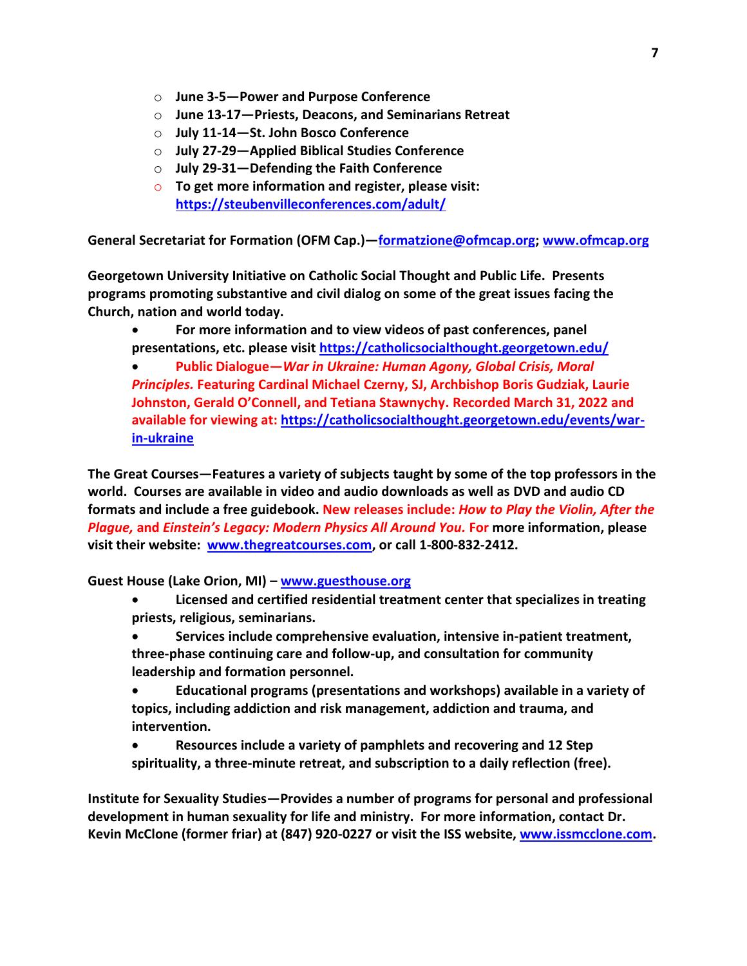- o **June 3-5—Power and Purpose Conference**
- o **June 13-17—Priests, Deacons, and Seminarians Retreat**
- o **July 11-14—St. John Bosco Conference**
- o **July 27-29—Applied Biblical Studies Conference**
- o **July 29-31—Defending the Faith Conference**
- o **To get more information and register, please visit: <https://steubenvilleconferences.com/adult/>**

**General Secretariat for Formation (OFM Cap.)—[formatzione@ofmcap.org;](mailto:formatzione@ofmcap.org) [www.ofmcap.org](http://www.ofmcap.org/)**

**Georgetown University Initiative on Catholic Social Thought and Public Life. Presents programs promoting substantive and civil dialog on some of the great issues facing the Church, nation and world today.** 

• **For more information and to view videos of past conferences, panel presentations, etc. please visit<https://catholicsocialthought.georgetown.edu/>**

• **Public Dialogue—***War in Ukraine: Human Agony, Global Crisis, Moral Principles.* **Featuring Cardinal Michael Czerny, SJ, Archbishop Boris Gudziak, Laurie Johnston, Gerald O'Connell, and Tetiana Stawnychy. Recorded March 31, 2022 and available for viewing at: [https://catholicsocialthought.georgetown.edu/events/war](https://catholicsocialthought.georgetown.edu/events/war-in-ukraine)[in-ukraine](https://catholicsocialthought.georgetown.edu/events/war-in-ukraine)**

**The Great Courses—Features a variety of subjects taught by some of the top professors in the world. Courses are available in video and audio downloads as well as DVD and audio CD formats and include a free guidebook. New releases include:** *How to Play the Violin, After the Plague,* **and** *Einstein's Legacy: Modern Physics All Around You.* **For more information, please visit their website: [www.thegreatcourses.com,](http://www.thegreatcourses.com/) or call 1-800-832-2412.** 

**Guest House (Lake Orion, MI) – [www.guesthouse.org](http://www.guesthouse.org/)**

- **Licensed and certified residential treatment center that specializes in treating priests, religious, seminarians.**
- **Services include comprehensive evaluation, intensive in-patient treatment, three-phase continuing care and follow-up, and consultation for community leadership and formation personnel.**
- **Educational programs (presentations and workshops) available in a variety of topics, including addiction and risk management, addiction and trauma, and intervention.**
- **Resources include a variety of pamphlets and recovering and 12 Step spirituality, a three-minute retreat, and subscription to a daily reflection (free).**

**Institute for Sexuality Studies—Provides a number of programs for personal and professional development in human sexuality for life and ministry. For more information, contact Dr. Kevin McClone (former friar) at (847) 920-0227 or visit the ISS website, [www.issmcclone.com.](http://www.issmcclone.com/)**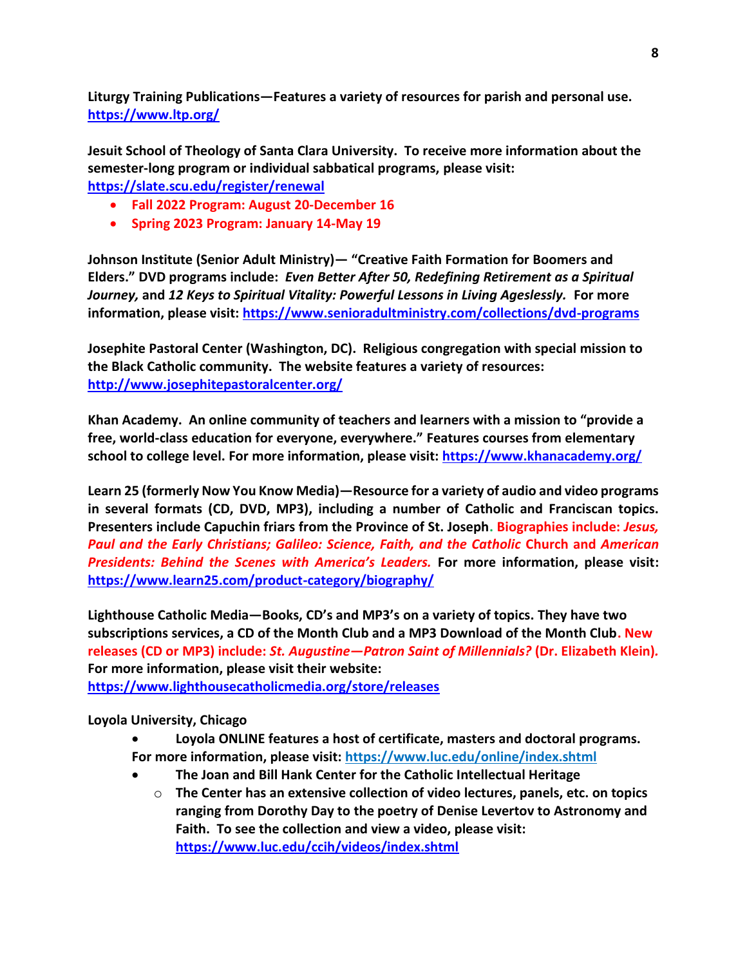**Liturgy Training Publications—Features a variety of resources for parish and personal use. <https://www.ltp.org/>**

**Jesuit School of Theology of Santa Clara University. To receive more information about the semester-long program or individual sabbatical programs, please visit:**

**<https://slate.scu.edu/register/renewal>**

- **Fall 2022 Program: August 20-December 16**
- **Spring 2023 Program: January 14-May 19**

**Johnson Institute (Senior Adult Ministry)— "Creative Faith Formation for Boomers and Elders." DVD programs include:** *Even Better After 50, Redefining Retirement as a Spiritual Journey,* **and** *12 Keys to Spiritual Vitality: Powerful Lessons in Living Ageslessly.* **For more information, please visit:<https://www.senioradultministry.com/collections/dvd-programs>**

**Josephite Pastoral Center (Washington, DC). Religious congregation with special mission to the Black Catholic community. The website features a variety of resources: <http://www.josephitepastoralcenter.org/>**

**Khan Academy. An online community of teachers and learners with a mission to "provide a free, world-class education for everyone, everywhere." Features courses from elementary school to college level. For more information, please visit:<https://www.khanacademy.org/>**

**Learn 25 (formerly Now You Know Media)—Resource for a variety of audio and video programs in several formats (CD, DVD, MP3), including a number of Catholic and Franciscan topics. Presenters include Capuchin friars from the Province of St. Joseph. Biographies include:** *Jesus, Paul and the Early Christians; Galileo: Science, Faith, and the Catholic* **Church and** *American Presidents: Behind the Scenes with America's Leaders.* **For more information, please visit: <https://www.learn25.com/product-category/biography/>**

**Lighthouse Catholic Media—Books, CD's and MP3's on a variety of topics. They have two subscriptions services, a CD of the Month Club and a MP3 Download of the Month Club. New releases (CD or MP3) include:** *St. Augustine—Patron Saint of Millennials?* **(Dr. Elizabeth Klein)***.* **For more information, please visit their website: <https://www.lighthousecatholicmedia.org/store/releases>**

**Loyola University, Chicago**

- **Loyola ONLINE features a host of certificate, masters and doctoral programs. For more information, please visit:<https://www.luc.edu/online/index.shtml>**
- **The Joan and Bill Hank Center for the Catholic Intellectual Heritage**
	- o **The Center has an extensive collection of video lectures, panels, etc. on topics ranging from Dorothy Day to the poetry of Denise Levertov to Astronomy and Faith. To see the collection and view a video, please visit: <https://www.luc.edu/ccih/videos/index.shtml>**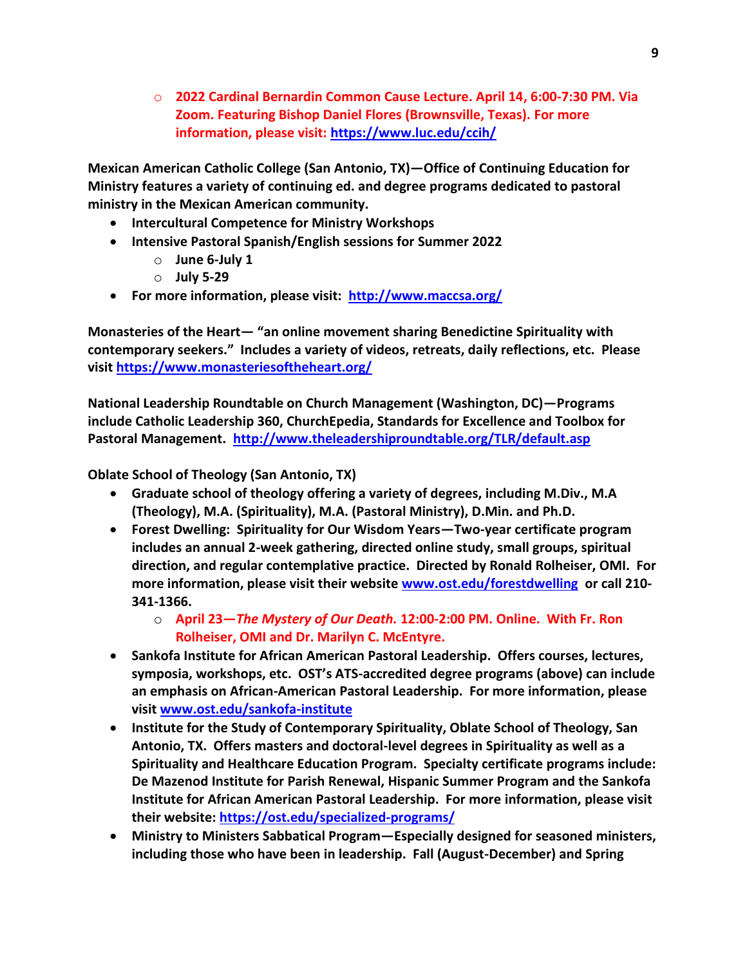o **2022 Cardinal Bernardin Common Cause Lecture. April 14, 6:00-7:30 PM. Via Zoom. Featuring Bishop Daniel Flores (Brownsville, Texas). For more information, please visit:<https://www.luc.edu/ccih/>**

**Mexican American Catholic College (San Antonio, TX)—Office of Continuing Education for Ministry features a variety of continuing ed. and degree programs dedicated to pastoral ministry in the Mexican American community.** 

- **Intercultural Competence for Ministry Workshops**
- **Intensive Pastoral Spanish/English sessions for Summer 2022**
	- o **June 6-July 1**
	- o **July 5-29**
- **For more information, please visit: <http://www.maccsa.org/>**

**Monasteries of the Heart— "an online movement sharing Benedictine Spirituality with contemporary seekers." Includes a variety of videos, retreats, daily reflections, etc. Please visit<https://www.monasteriesoftheheart.org/>**

**National Leadership Roundtable on Church Management (Washington, DC)—Programs include Catholic Leadership 360, ChurchEpedia, Standards for Excellence and Toolbox for Pastoral Management. <http://www.theleadershiproundtable.org/TLR/default.asp>**

**Oblate School of Theology (San Antonio, TX)**

- **Graduate school of theology offering a variety of degrees, including M.Div., M.A (Theology), M.A. (Spirituality), M.A. (Pastoral Ministry), D.Min. and Ph.D.**
- **Forest Dwelling: Spirituality for Our Wisdom Years—Two-year certificate program includes an annual 2-week gathering, directed online study, small groups, spiritual direction, and regular contemplative practice. Directed by Ronald Rolheiser, OMI. For more information, please visit their website [www.ost.edu/forestdwelling](http://www.ost.edu/forestdwelling) or call 210- 341-1366.** 
	- o **April 23—***The Mystery of Our Death.* **12:00-2:00 PM. Online. With Fr. Ron Rolheiser, OMI and Dr. Marilyn C. McEntyre.**
- **Sankofa Institute for African American Pastoral Leadership. Offers courses, lectures, symposia, workshops, etc. OST's ATS-accredited degree programs (above) can include an emphasis on African-American Pastoral Leadership. For more information, please visit [www.ost.edu/sankofa-institute](http://www.ost.edu/sankofa-institute)**
- **Institute for the Study of Contemporary Spirituality, Oblate School of Theology, San Antonio, TX. Offers masters and doctoral-level degrees in Spirituality as well as a Spirituality and Healthcare Education Program. Specialty certificate programs include: De Mazenod Institute for Parish Renewal, Hispanic Summer Program and the Sankofa Institute for African American Pastoral Leadership. For more information, please visit their website:<https://ost.edu/specialized-programs/>**
- **Ministry to Ministers Sabbatical Program—Especially designed for seasoned ministers, including those who have been in leadership. Fall (August-December) and Spring**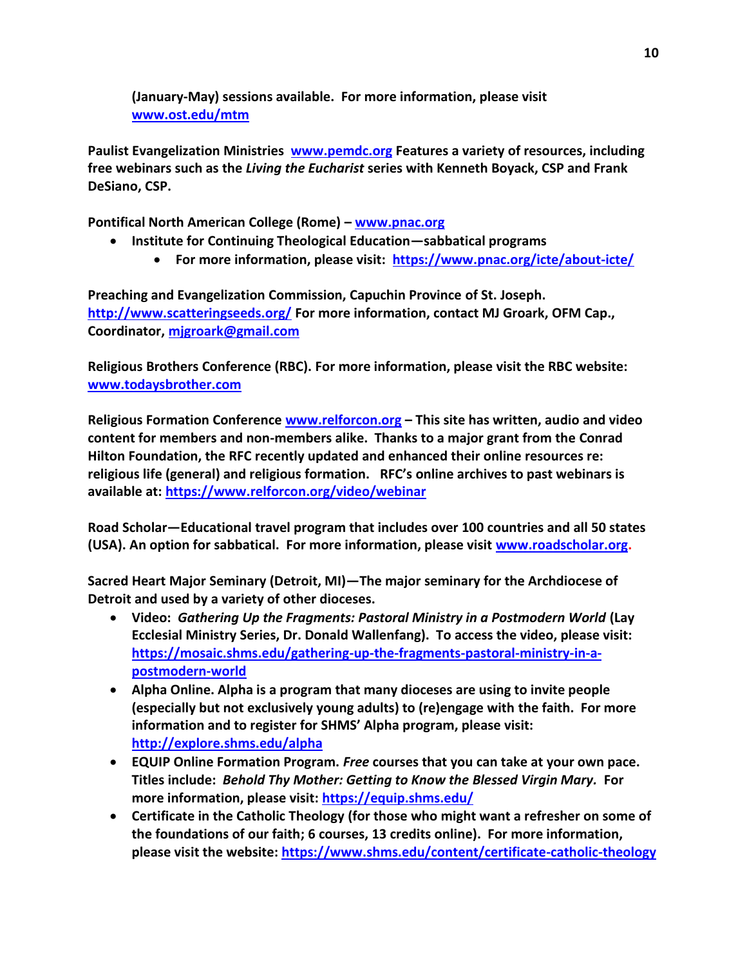**(January-May) sessions available. For more information, please visit [www.ost.edu/mtm](http://www.ost.edu/mtm)**

**Paulist Evangelization Ministries [www.pemdc.org](http://www.pemdc.org/) Features a variety of resources, including free webinars such as the** *Living the Eucharist* **series with Kenneth Boyack, CSP and Frank DeSiano, CSP.** 

**Pontifical North American College (Rome) – [www.pnac.org](http://www.pnac.org/)**

- **Institute for Continuing Theological Education—sabbatical programs**
	- **For more information, please visit: <https://www.pnac.org/icte/about-icte/>**

**Preaching and Evangelization Commission, Capuchin Province of St. Joseph. <http://www.scatteringseeds.org/> For more information, contact MJ Groark, OFM Cap., Coordinator, [mjgroark@gmail.com](mailto:mjgroark@gmail.com)**

**Religious Brothers Conference (RBC). For more information, please visit the RBC website: [www.todaysbrother.com](http://www.todaysbrother.com/)**

**Religious Formation Conference [www.relforcon.org](http://www.relforcon.org/) – This site has written, audio and video content for members and non-members alike. Thanks to a major grant from the Conrad Hilton Foundation, the RFC recently updated and enhanced their online resources re: religious life (general) and religious formation. RFC's online archives to past webinars is available at:<https://www.relforcon.org/video/webinar>**

**Road Scholar—Educational travel program that includes over 100 countries and all 50 states (USA). An option for sabbatical. For more information, please visit [www.roadscholar.org.](http://www.roadscholar.org/)** 

**Sacred Heart Major Seminary (Detroit, MI)—The major seminary for the Archdiocese of Detroit and used by a variety of other dioceses.**

- **Video:** *Gathering Up the Fragments: Pastoral Ministry in a Postmodern World* **(Lay Ecclesial Ministry Series, Dr. Donald Wallenfang). To access the video, please visit: [https://mosaic.shms.edu/gathering-up-the-fragments-pastoral-ministry-in-a](https://mosaic.shms.edu/gathering-up-the-fragments-pastoral-ministry-in-a-postmodern-world)[postmodern-world](https://mosaic.shms.edu/gathering-up-the-fragments-pastoral-ministry-in-a-postmodern-world)**
- **Alpha Online. Alpha is a program that many dioceses are using to invite people (especially but not exclusively young adults) to (re)engage with the faith. For more information and to register for SHMS' Alpha program, please visit: [http://explore.shms.edu/alpha](http://explore.shms.edu/alpha?utm_source=Sacred+Heart+Major+Seminary&utm_campaign=2e3496a161-EMAIL_CAMPAIGN_2020_04_23_10_08_COPY_02&utm_medium=email&utm_term=0_f844f45077-2e3496a161-188930657&mc_cid=2e3496a161&mc_eid=c44e3ee22f)**
- **EQUIP Online Formation Program.** *Free* **courses that you can take at your own pace. Titles include:** *Behold Thy Mother: Getting to Know the Blessed Virgin Mary.* **For more information, please visit:<https://equip.shms.edu/>**
- **Certificate in the Catholic Theology (for those who might want a refresher on some of the foundations of our faith; 6 courses, 13 credits online). For more information, please visit the website:<https://www.shms.edu/content/certificate-catholic-theology>**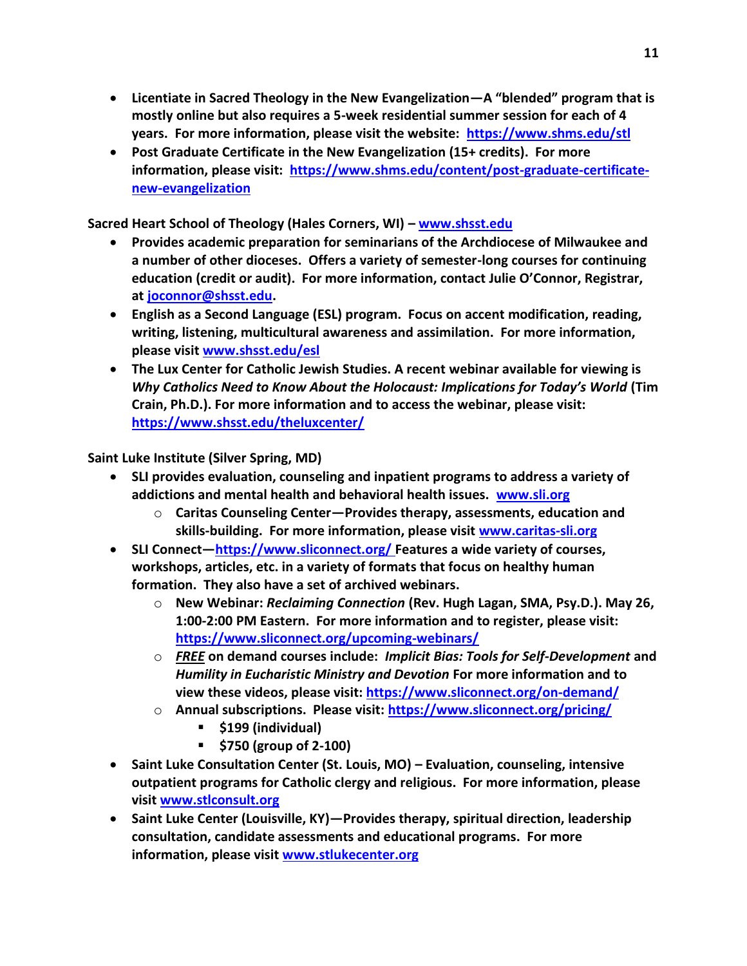- **Licentiate in Sacred Theology in the New Evangelization—A "blended" program that is mostly online but also requires a 5-week residential summer session for each of 4 years. For more information, please visit the website: <https://www.shms.edu/stl>**
- **Post Graduate Certificate in the New Evangelization (15+ credits). For more information, please visit: [https://www.shms.edu/content/post-graduate-certificate](https://www.shms.edu/content/post-graduate-certificate-new-evangelization)[new-evangelization](https://www.shms.edu/content/post-graduate-certificate-new-evangelization)**

**Sacred Heart School of Theology (Hales Corners, WI) – [www.shsst.edu](http://www.shsst.edu/)**

- **Provides academic preparation for seminarians of the Archdiocese of Milwaukee and a number of other dioceses. Offers a variety of semester-long courses for continuing education (credit or audit). For more information, contact Julie O'Connor, Registrar, at [joconnor@shsst.edu.](mailto:joconnor@shsst.edu)**
- **English as a Second Language (ESL) program. Focus on accent modification, reading, writing, listening, multicultural awareness and assimilation. For more information, please visit [www.shsst.edu/esl](http://www.shsst.edu/esl)**
- **The Lux Center for Catholic Jewish Studies. A recent webinar available for viewing is**  *Why Catholics Need to Know About the Holocaust: Implications for Today's World* **(Tim Crain, Ph.D.). For more information and to access the webinar, please visit: <https://www.shsst.edu/theluxcenter/>**

**Saint Luke Institute (Silver Spring, MD)**

- **SLI provides evaluation, counseling and inpatient programs to address a variety of addictions and mental health and behavioral health issues. [www.sli.org](http://www.sli.org/)**
	- o **Caritas Counseling Center—Provides therapy, assessments, education and skills-building. For more information, please visit [www.caritas-sli.org](http://www.caritas-sli.org/)**
- **SLI Connect—<https://www.sliconnect.org/> Features a wide variety of courses, workshops, articles, etc. in a variety of formats that focus on healthy human formation. They also have a set of archived webinars.** 
	- o **New Webinar:** *Reclaiming Connection* **(Rev. Hugh Lagan, SMA, Psy.D.). May 26, 1:00-2:00 PM Eastern. For more information and to register, please visit: <https://www.sliconnect.org/upcoming-webinars/>**
	- o *FREE* **on demand courses include:** *Implicit Bias: Tools for Self-Development* **and**  *Humility in Eucharistic Ministry and Devotion* **For more information and to view these videos, please visit: <https://www.sliconnect.org/on-demand/>**
	- o **Annual subscriptions. Please visit:<https://www.sliconnect.org/pricing/>**
		- **\$199 (individual)**
		- **\$750 (group of 2-100)**
- **Saint Luke Consultation Center (St. Louis, MO) – Evaluation, counseling, intensive outpatient programs for Catholic clergy and religious. For more information, please visit [www.stlconsult.org](http://www.stlconsult.org/)**
- **Saint Luke Center (Louisville, KY)—Provides therapy, spiritual direction, leadership consultation, candidate assessments and educational programs. For more information, please visit [www.stlukecenter.org](http://www.stlukecenter.org/)**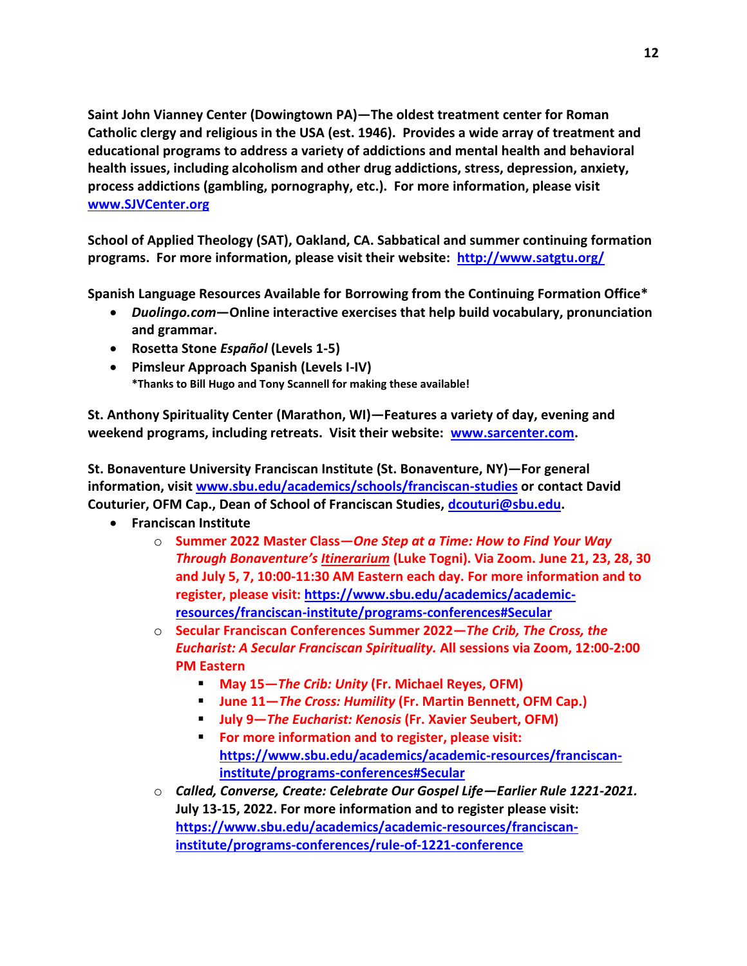**Saint John Vianney Center (Dowingtown PA)—The oldest treatment center for Roman Catholic clergy and religious in the USA (est. 1946). Provides a wide array of treatment and educational programs to address a variety of addictions and mental health and behavioral health issues, including alcoholism and other drug addictions, stress, depression, anxiety, process addictions (gambling, pornography, etc.). For more information, please visit [www.SJVCenter.org](http://www.sjvcenter.org/)**

**School of Applied Theology (SAT), Oakland, CA. Sabbatical and summer continuing formation programs. For more information, please visit their website: <http://www.satgtu.org/>**

**Spanish Language Resources Available for Borrowing from the Continuing Formation Office\***

- *Duolingo.com***—Online interactive exercises that help build vocabulary, pronunciation and grammar.**
- **Rosetta Stone** *Español* **(Levels 1-5)**
- **Pimsleur Approach Spanish (Levels I-IV) \*Thanks to Bill Hugo and Tony Scannell for making these available!**

**St. Anthony Spirituality Center (Marathon, WI)—Features a variety of day, evening and weekend programs, including retreats. Visit their website: [www.sarcenter.com.](http://www.sarcenter.com/)** 

**St. Bonaventure University Franciscan Institute (St. Bonaventure, NY)—For general information, visi[t www.sbu.edu/academics/schools/franciscan-studies](http://www.sbu.edu/academics/schools/franciscan-studies) or contact David Couturier, OFM Cap., Dean of School of Franciscan Studies, [dcouturi@sbu.edu.](mailto:dcouturi@sbu.edu)** 

- **Franciscan Institute** 
	- o **Summer 2022 Master Class—***One Step at a Time: How to Find Your Way Through Bonaventure's Itinerarium* **(Luke Togni). Via Zoom. June 21, 23, 28, 30 and July 5, 7, 10:00-11:30 AM Eastern each day. For more information and to register, please visit: [https://www.sbu.edu/academics/academic](https://www.sbu.edu/academics/academic-resources/franciscan-institute/programs-conferences#Secular)[resources/franciscan-institute/programs-conferences#Secular](https://www.sbu.edu/academics/academic-resources/franciscan-institute/programs-conferences#Secular)**
	- o **Secular Franciscan Conferences Summer 2022—***The Crib, The Cross, the Eucharist: A Secular Franciscan Spirituality.* **All sessions via Zoom, 12:00-2:00 PM Eastern**
		- **May 15—***The Crib: Unity* **(Fr. Michael Reyes, OFM)**
		- **June 11—***The Cross: Humility* **(Fr. Martin Bennett, OFM Cap.)**
		- **July 9—***The Eucharist: Kenosis* **(Fr. Xavier Seubert, OFM)**
		- **For more information and to register, please visit: [https://www.sbu.edu/academics/academic-resources/franciscan](https://www.sbu.edu/academics/academic-resources/franciscan-institute/programs-conferences#Secular)[institute/programs-conferences#Secular](https://www.sbu.edu/academics/academic-resources/franciscan-institute/programs-conferences#Secular)**
	- o *Called, Converse, Create: Celebrate Our Gospel Life—Earlier Rule 1221-2021.*  **July 13-15, 2022. For more information and to register please visit: [https://www.sbu.edu/academics/academic-resources/franciscan](https://www.sbu.edu/academics/academic-resources/franciscan-institute/programs-conferences/rule-of-1221-conference)[institute/programs-conferences/rule-of-1221-conference](https://www.sbu.edu/academics/academic-resources/franciscan-institute/programs-conferences/rule-of-1221-conference)**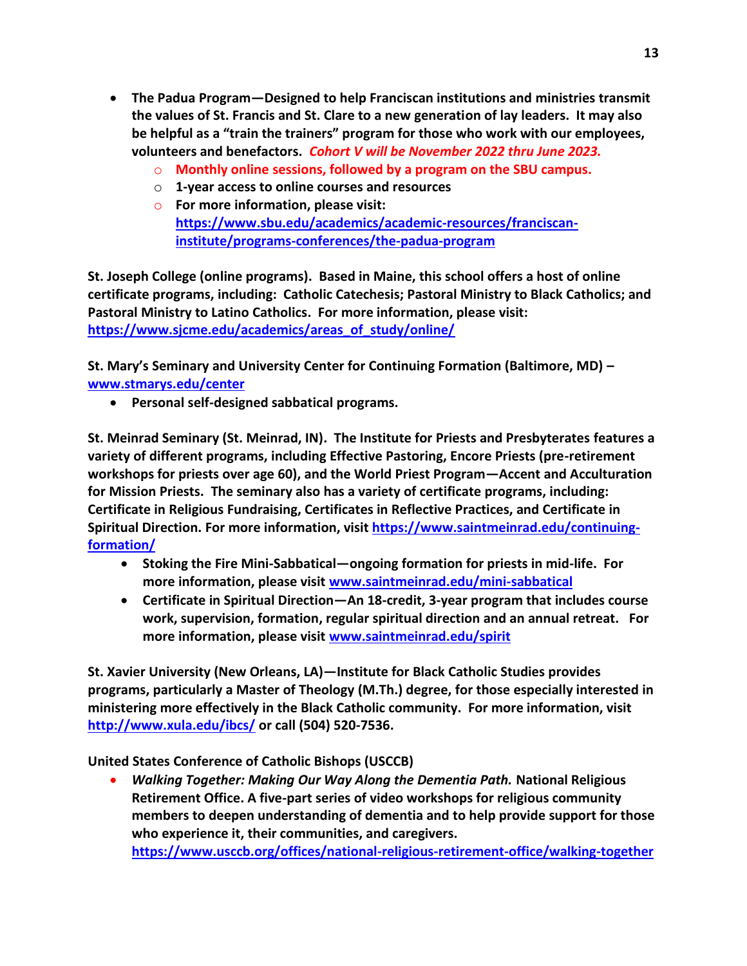- **The Padua Program—Designed to help Franciscan institutions and ministries transmit the values of St. Francis and St. Clare to a new generation of lay leaders. It may also be helpful as a "train the trainers" program for those who work with our employees, volunteers and benefactors.** *Cohort V will be November 2022 thru June 2023.* 
	- o **Monthly online sessions, followed by a program on the SBU campus.**
	- o **1-year access to online courses and resources**
	- o **For more information, please visit: [https://www.sbu.edu/academics/academic-resources/franciscan](https://www.sbu.edu/academics/academic-resources/franciscan-institute/programs-conferences/the-padua-program)[institute/programs-conferences/the-padua-program](https://www.sbu.edu/academics/academic-resources/franciscan-institute/programs-conferences/the-padua-program)**

**St. Joseph College (online programs). Based in Maine, this school offers a host of online certificate programs, including: Catholic Catechesis; Pastoral Ministry to Black Catholics; and Pastoral Ministry to Latino Catholics. For more information, please visit: [https://www.sjcme.edu/academics/areas\\_of\\_study/online/](https://www.sjcme.edu/academics/areas_of_study/online/)**

**St. Mary's Seminary and University Center for Continuing Formation (Baltimore, MD) – [www.stmarys.edu/center](http://www.stmarys.edu/center)**

• **Personal self-designed sabbatical programs.**

**St. Meinrad Seminary (St. Meinrad, IN). The Institute for Priests and Presbyterates features a variety of different programs, including Effective Pastoring, Encore Priests (pre-retirement workshops for priests over age 60), and the World Priest Program—Accent and Acculturation for Mission Priests. The seminary also has a variety of certificate programs, including: Certificate in Religious Fundraising, Certificates in Reflective Practices, and Certificate in Spiritual Direction. For more information, visit [https://www.saintmeinrad.edu/continuing](https://www.saintmeinrad.edu/continuing-formation/)[formation/](https://www.saintmeinrad.edu/continuing-formation/)**

- **Stoking the Fire Mini-Sabbatical—ongoing formation for priests in mid-life. For more information, please visit [www.saintmeinrad.edu/mini-sabbatical](http://www.saintmeinrad.edu/mini-sabbatical)**
- **Certificate in Spiritual Direction—An 18-credit, 3-year program that includes course work, supervision, formation, regular spiritual direction and an annual retreat. For more information, please visit [www.saintmeinrad.edu/spirit](http://www.saintmeinrad.edu/spirit)**

**St. Xavier University (New Orleans, LA)—Institute for Black Catholic Studies provides programs, particularly a Master of Theology (M.Th.) degree, for those especially interested in ministering more effectively in the Black Catholic community. For more information, visit <http://www.xula.edu/ibcs/> or call (504) 520-7536.**

**United States Conference of Catholic Bishops (USCCB)**

• *Walking Together: Making Our Way Along the Dementia Path.* **National Religious Retirement Office. A five-part series of video workshops for religious community members to deepen understanding of dementia and to help provide support for those who experience it, their communities, and caregivers. <https://www.usccb.org/offices/national-religious-retirement-office/walking-together>**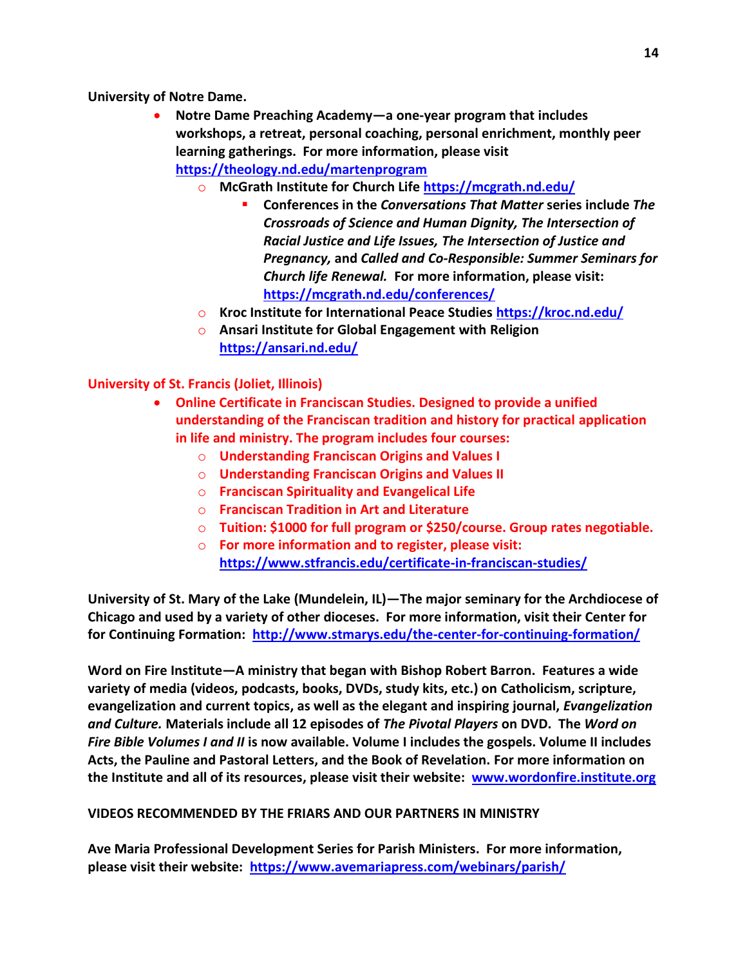**University of Notre Dame.** 

- **Notre Dame Preaching Academy—a one-year program that includes workshops, a retreat, personal coaching, personal enrichment, monthly peer learning gatherings. For more information, please visit <https://theology.nd.edu/martenprogram>**
	- o **McGrath Institute for Church Life <https://mcgrath.nd.edu/>**
		- **Conferences in the** *Conversations That Matter* **series include** *The Crossroads of Science and Human Dignity, The Intersection of Racial Justice and Life Issues, The Intersection of Justice and Pregnancy,* **and** *Called and Co-Responsible: Summer Seminars for Church life Renewal.* **For more information, please visit: <https://mcgrath.nd.edu/conferences/>**
	- o **Kroc Institute for International Peace Studies <https://kroc.nd.edu/>**
	- o **Ansari Institute for Global Engagement with Religion <https://ansari.nd.edu/>**

**University of St. Francis (Joliet, Illinois)**

- **Online Certificate in Franciscan Studies. Designed to provide a unified understanding of the Franciscan tradition and history for practical application in life and ministry. The program includes four courses:**
	- o **Understanding Franciscan Origins and Values I**
	- o **Understanding Franciscan Origins and Values II**
	- o **Franciscan Spirituality and Evangelical Life**
	- o **Franciscan Tradition in Art and Literature**
	- o **Tuition: \$1000 for full program or \$250/course. Group rates negotiable.**
	- o **For more information and to register, please visit: <https://www.stfrancis.edu/certificate-in-franciscan-studies/>**

**University of St. Mary of the Lake (Mundelein, IL)—The major seminary for the Archdiocese of Chicago and used by a variety of other dioceses. For more information, visit their Center for for Continuing Formation: <http://www.stmarys.edu/the-center-for-continuing-formation/>**

**Word on Fire Institute—A ministry that began with Bishop Robert Barron. Features a wide variety of media (videos, podcasts, books, DVDs, study kits, etc.) on Catholicism, scripture, evangelization and current topics, as well as the elegant and inspiring journal,** *Evangelization and Culture.* **Materials include all 12 episodes of** *The Pivotal Players* **on DVD. The** *Word on Fire Bible Volumes I and II* **is now available. Volume I includes the gospels. Volume II includes Acts, the Pauline and Pastoral Letters, and the Book of Revelation. For more information on the Institute and all of its resources, please visit their website: [www.wordonfire.institute.org](http://www.wordonfire.institute.org/)**

#### **VIDEOS RECOMMENDED BY THE FRIARS AND OUR PARTNERS IN MINISTRY**

**Ave Maria Professional Development Series for Parish Ministers. For more information, please visit their website: <https://www.avemariapress.com/webinars/parish/>**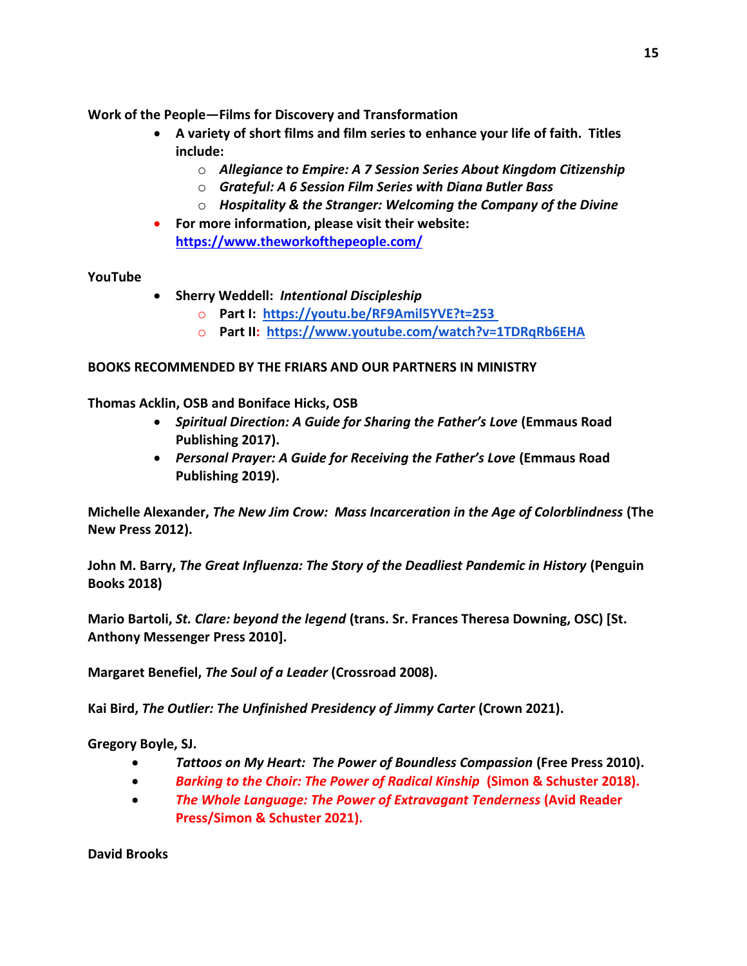**Work of the People—Films for Discovery and Transformation**

- **A variety of short films and film series to enhance your life of faith. Titles include:**
	- o *Allegiance to Empire: A 7 Session Series About Kingdom Citizenship*
	- o *Grateful: A 6 Session Film Series with Diana Butler Bass*
	- o *Hospitality & the Stranger: Welcoming the Company of the Divine*
- **For more information, please visit their website: <https://www.theworkofthepeople.com/>**

# **YouTube**

- **Sherry Weddell:** *Intentional Discipleship*
	- o **Part I: <https://youtu.be/RF9Amil5YVE?t=253>**
	- o **Part II:<https://www.youtube.com/watch?v=1TDRqRb6EHA>**

# **BOOKS RECOMMENDED BY THE FRIARS AND OUR PARTNERS IN MINISTRY**

**Thomas Acklin, OSB and Boniface Hicks, OSB**

- *Spiritual Direction: A Guide for Sharing the Father's Love* **(Emmaus Road Publishing 2017).**
- *Personal Prayer: A Guide for Receiving the Father's Love* **(Emmaus Road Publishing 2019).**

**Michelle Alexander,** *The New Jim Crow: Mass Incarceration in the Age of Colorblindness* **(The New Press 2012).**

**John M. Barry,** *The Great Influenza: The Story of the Deadliest Pandemic in History* **(Penguin Books 2018)**

**Mario Bartoli,** *St. Clare: beyond the legend* **(trans. Sr. Frances Theresa Downing, OSC) [St. Anthony Messenger Press 2010].**

**Margaret Benefiel,** *The Soul of a Leader* **(Crossroad 2008).**

**Kai Bird,** *The Outlier: The Unfinished Presidency of Jimmy Carter* **(Crown 2021).**

**Gregory Boyle, SJ.**

- *Tattoos on My Heart: The Power of Boundless Compassion* **(Free Press 2010).**
- *Barking to the Choir: The Power of Radical Kinship* **(Simon & Schuster 2018).**
- *The Whole Language: The Power of Extravagant Tenderness* **(Avid Reader Press/Simon & Schuster 2021).**

**David Brooks**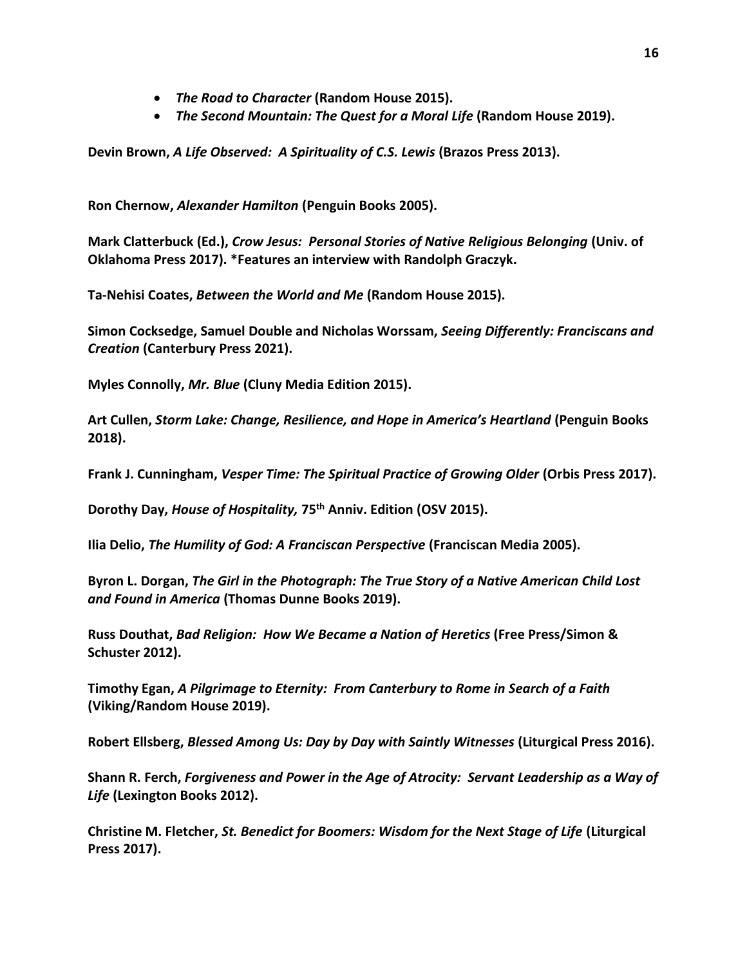- *The Road to Character* **(Random House 2015).**
- *The Second Mountain: The Quest for a Moral Life* **(Random House 2019).**

**Devin Brown,** *A Life Observed: A Spirituality of C.S. Lewis* **(Brazos Press 2013).**

**Ron Chernow,** *Alexander Hamilton* **(Penguin Books 2005).**

**Mark Clatterbuck (Ed.),** *Crow Jesus: Personal Stories of Native Religious Belonging* **(Univ. of Oklahoma Press 2017). \*Features an interview with Randolph Graczyk.**

**Ta-Nehisi Coates,** *Between the World and Me* **(Random House 2015).**

**Simon Cocksedge, Samuel Double and Nicholas Worssam,** *Seeing Differently: Franciscans and Creation* **(Canterbury Press 2021).**

**Myles Connolly,** *Mr. Blue* **(Cluny Media Edition 2015).**

**Art Cullen,** *Storm Lake: Change, Resilience, and Hope in America's Heartland* **(Penguin Books 2018).**

**Frank J. Cunningham,** *Vesper Time: The Spiritual Practice of Growing Older* **(Orbis Press 2017).**

**Dorothy Day,** *House of Hospitality,* **75th Anniv. Edition (OSV 2015).**

**Ilia Delio,** *The Humility of God: A Franciscan Perspective* **(Franciscan Media 2005).**

**Byron L. Dorgan,** *The Girl in the Photograph: The True Story of a Native American Child Lost and Found in America* **(Thomas Dunne Books 2019).**

**Russ Douthat,** *Bad Religion: How We Became a Nation of Heretics* **(Free Press/Simon & Schuster 2012).**

**Timothy Egan,** *A Pilgrimage to Eternity: From Canterbury to Rome in Search of a Faith*  **(Viking/Random House 2019).**

**Robert Ellsberg,** *Blessed Among Us: Day by Day with Saintly Witnesses* **(Liturgical Press 2016).**

**Shann R. Ferch,** *Forgiveness and Power in the Age of Atrocity: Servant Leadership as a Way of Life* **(Lexington Books 2012).**

**Christine M. Fletcher,** *St. Benedict for Boomers: Wisdom for the Next Stage of Life* **(Liturgical Press 2017).**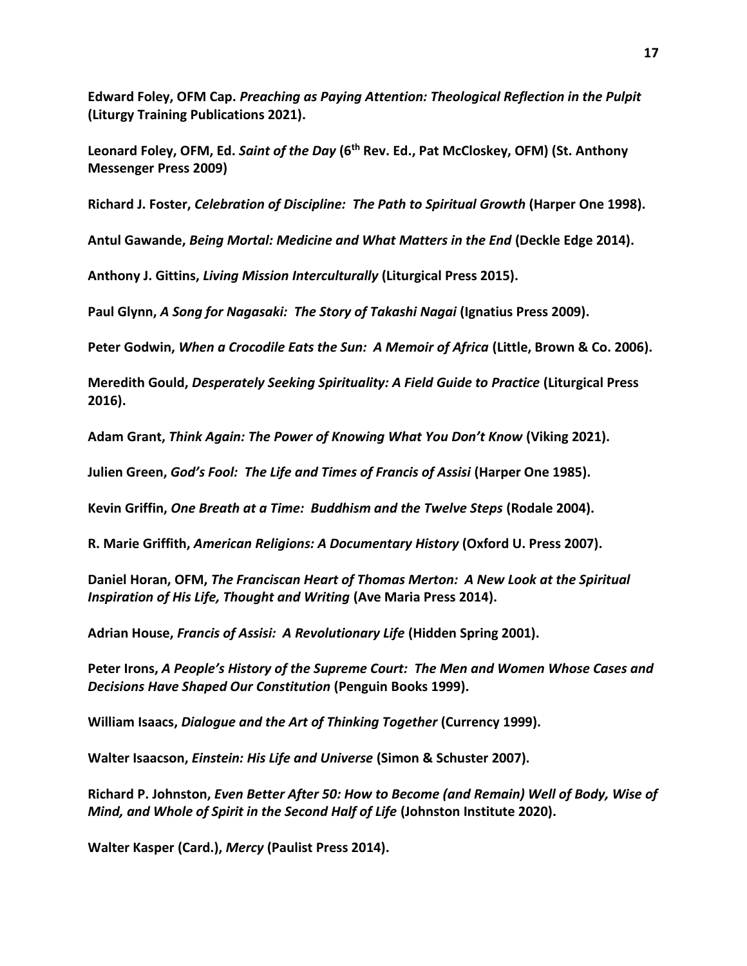**Edward Foley, OFM Cap.** *Preaching as Paying Attention: Theological Reflection in the Pulpit*  **(Liturgy Training Publications 2021).**

**Leonard Foley, OFM, Ed.** *Saint of the Day* **(6th Rev. Ed., Pat McCloskey, OFM) (St. Anthony Messenger Press 2009)**

**Richard J. Foster,** *Celebration of Discipline: The Path to Spiritual Growth* **(Harper One 1998).**

**Antul Gawande,** *Being Mortal: Medicine and What Matters in the End* **(Deckle Edge 2014).**

**Anthony J. Gittins,** *Living Mission Interculturally* **(Liturgical Press 2015).**

**Paul Glynn,** *A Song for Nagasaki: The Story of Takashi Nagai* **(Ignatius Press 2009).**

**Peter Godwin,** *When a Crocodile Eats the Sun: A Memoir of Africa* **(Little, Brown & Co. 2006).**

**Meredith Gould,** *Desperately Seeking Spirituality: A Field Guide to Practice* **(Liturgical Press 2016).**

**Adam Grant,** *Think Again: The Power of Knowing What You Don't Know* **(Viking 2021).**

**Julien Green,** *God's Fool: The Life and Times of Francis of Assisi* **(Harper One 1985).**

**Kevin Griffin,** *One Breath at a Time: Buddhism and the Twelve Steps* **(Rodale 2004).**

**R. Marie Griffith,** *American Religions: A Documentary History* **(Oxford U. Press 2007).**

**Daniel Horan, OFM,** *The Franciscan Heart of Thomas Merton: A New Look at the Spiritual Inspiration of His Life, Thought and Writing* **(Ave Maria Press 2014).**

**Adrian House,** *Francis of Assisi: A Revolutionary Life* **(Hidden Spring 2001).**

**Peter Irons,** *A People's History of the Supreme Court: The Men and Women Whose Cases and Decisions Have Shaped Our Constitution* **(Penguin Books 1999).**

**William Isaacs,** *Dialogue and the Art of Thinking Together* **(Currency 1999).**

**Walter Isaacson,** *Einstein: His Life and Universe* **(Simon & Schuster 2007).**

**Richard P. Johnston,** *Even Better After 50: How to Become (and Remain) Well of Body, Wise of Mind, and Whole of Spirit in the Second Half of Life* **(Johnston Institute 2020).**

**Walter Kasper (Card.),** *Mercy* **(Paulist Press 2014).**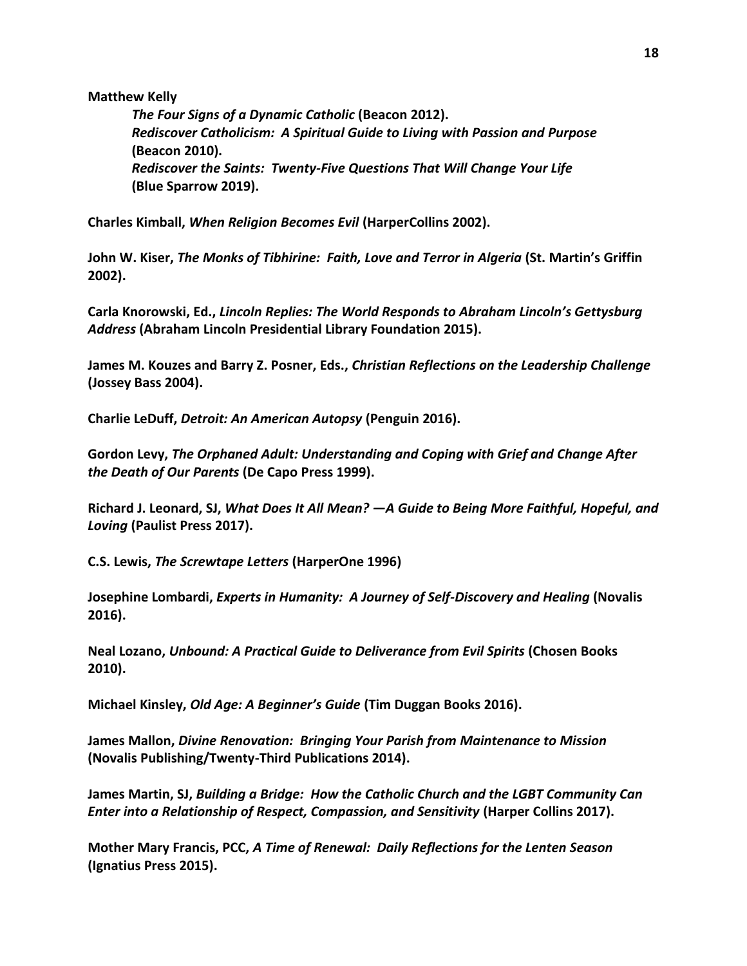#### **Matthew Kelly**

*The Four Signs of a Dynamic Catholic* **(Beacon 2012).** *Rediscover Catholicism: A Spiritual Guide to Living with Passion and Purpose* **(Beacon 2010).** *Rediscover the Saints: Twenty-Five Questions That Will Change Your Life*  **(Blue Sparrow 2019).**

**Charles Kimball,** *When Religion Becomes Evil* **(HarperCollins 2002).**

**John W. Kiser,** *The Monks of Tibhirine: Faith, Love and Terror in Algeria* **(St. Martin's Griffin 2002).**

**Carla Knorowski, Ed.,** *Lincoln Replies: The World Responds to Abraham Lincoln's Gettysburg Address* **(Abraham Lincoln Presidential Library Foundation 2015).**

**James M. Kouzes and Barry Z. Posner, Eds.,** *Christian Reflections on the Leadership Challenge* **(Jossey Bass 2004).** 

**Charlie LeDuff,** *Detroit: An American Autopsy* **(Penguin 2016).**

**Gordon Levy,** *The Orphaned Adult: Understanding and Coping with Grief and Change After the Death of Our Parents* **(De Capo Press 1999).**

**Richard J. Leonard, SJ,** *What Does It All Mean? —A Guide to Being More Faithful, Hopeful, and Loving* **(Paulist Press 2017).**

**C.S. Lewis,** *The Screwtape Letters* **(HarperOne 1996)**

**Josephine Lombardi,** *Experts in Humanity: A Journey of Self-Discovery and Healing* **(Novalis 2016).**

**Neal Lozano,** *Unbound: A Practical Guide to Deliverance from Evil Spirits* **(Chosen Books 2010).**

**Michael Kinsley,** *Old Age: A Beginner's Guide* **(Tim Duggan Books 2016).**

**James Mallon,** *Divine Renovation: Bringing Your Parish from Maintenance to Mission* **(Novalis Publishing/Twenty-Third Publications 2014).**

**James Martin, SJ,** *Building a Bridge: How the Catholic Church and the LGBT Community Can Enter into a Relationship of Respect, Compassion, and Sensitivity (Harper Collins 2017).* 

**Mother Mary Francis, PCC,** *A Time of Renewal: Daily Reflections for the Lenten Season*  **(Ignatius Press 2015).**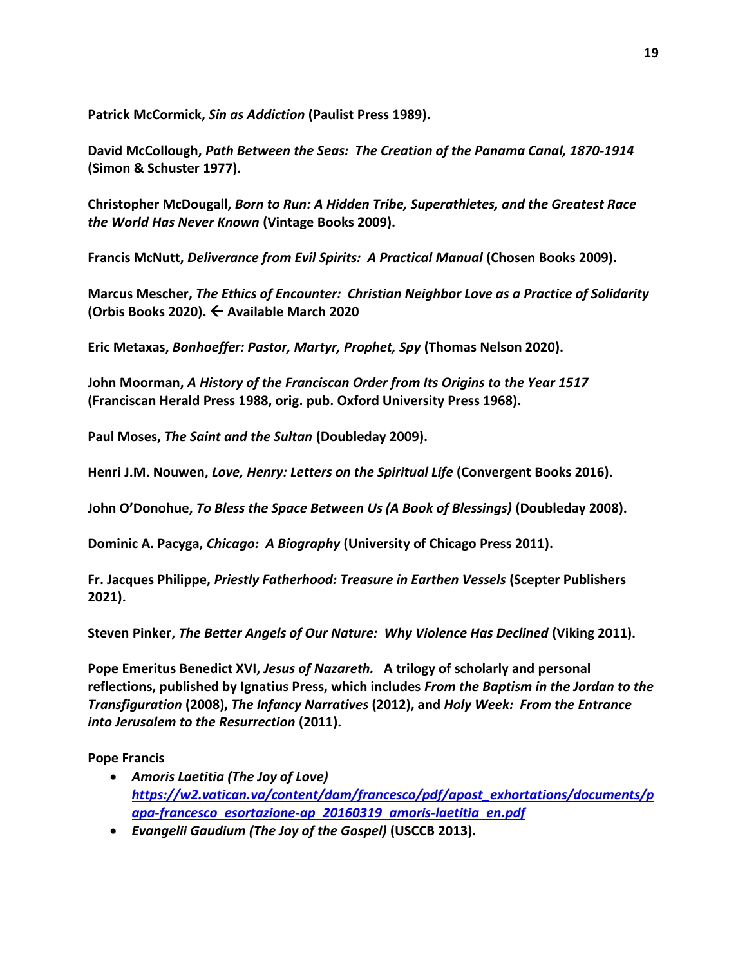**Patrick McCormick,** *Sin as Addiction* **(Paulist Press 1989).**

**David McCollough,** *Path Between the Seas: The Creation of the Panama Canal, 1870-1914*  **(Simon & Schuster 1977).** 

**Christopher McDougall,** *Born to Run: A Hidden Tribe, Superathletes, and the Greatest Race the World Has Never Known* **(Vintage Books 2009).**

**Francis McNutt,** *Deliverance from Evil Spirits: A Practical Manual* **(Chosen Books 2009).**

**Marcus Mescher,** *The Ethics of Encounter: Christian Neighbor Love as a Practice of Solidarity*  **(Orbis Books 2020). ← Available March 2020** 

**Eric Metaxas,** *Bonhoeffer: Pastor, Martyr, Prophet, Spy* **(Thomas Nelson 2020).**

**John Moorman,** *A History of the Franciscan Order from Its Origins to the Year 1517* **(Franciscan Herald Press 1988, orig. pub. Oxford University Press 1968).**

**Paul Moses,** *The Saint and the Sultan* **(Doubleday 2009).**

**Henri J.M. Nouwen,** *Love, Henry: Letters on the Spiritual Life* **(Convergent Books 2016).**

**John O'Donohue,** *To Bless the Space Between Us (A Book of Blessings)* **(Doubleday 2008).**

**Dominic A. Pacyga,** *Chicago: A Biography* **(University of Chicago Press 2011).**

**Fr. Jacques Philippe,** *Priestly Fatherhood: Treasure in Earthen Vessels* **(Scepter Publishers 2021).**

**Steven Pinker,** *The Better Angels of Our Nature: Why Violence Has Declined* **(Viking 2011).**

**Pope Emeritus Benedict XVI,** *Jesus of Nazareth.* **A trilogy of scholarly and personal reflections, published by Ignatius Press, which includes** *From the Baptism in the Jordan to the Transfiguration* **(2008),** *The Infancy Narratives* **(2012), and** *Holy Week: From the Entrance into Jerusalem to the Resurrection* **(2011).** 

**Pope Francis**

- *Amoris Laetitia (The Joy of Love) [https://w2.vatican.va/content/dam/francesco/pdf/apost\\_exhortations/documents/p](https://w2.vatican.va/content/dam/francesco/pdf/apost_exhortations/documents/papa-francesco_esortazione-ap_20160319_amoris-laetitia_en.pdf) [apa-francesco\\_esortazione-ap\\_20160319\\_amoris-laetitia\\_en.pdf](https://w2.vatican.va/content/dam/francesco/pdf/apost_exhortations/documents/papa-francesco_esortazione-ap_20160319_amoris-laetitia_en.pdf)*
- *Evangelii Gaudium (The Joy of the Gospel)* **(USCCB 2013).**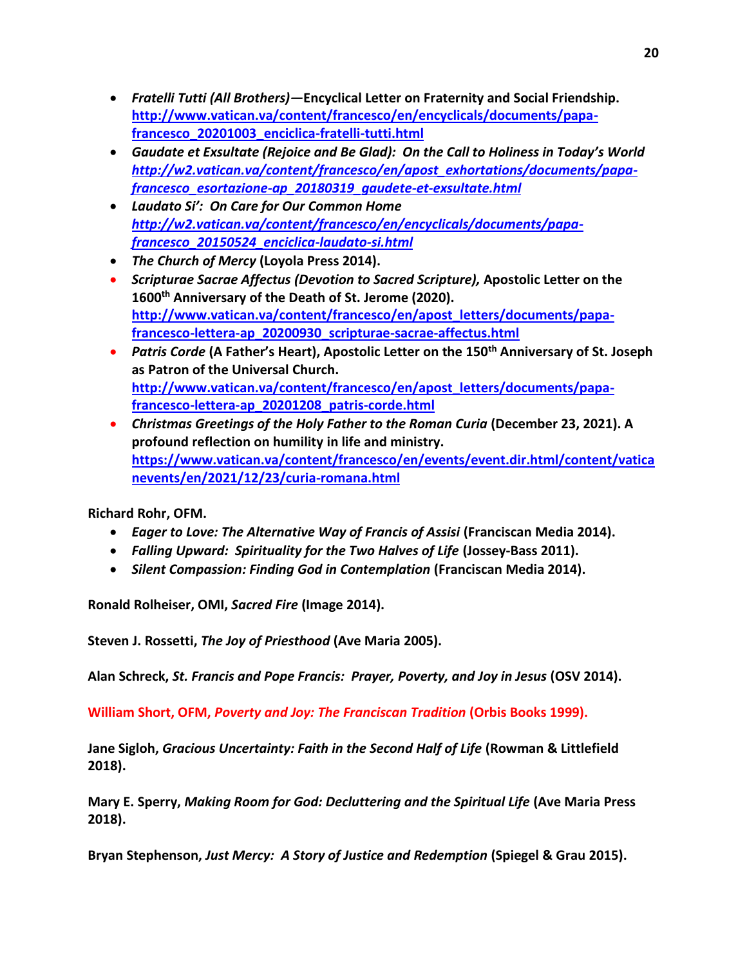- *Fratelli Tutti (All Brothers)—***Encyclical Letter on Fraternity and Social Friendship. [http://www.vatican.va/content/francesco/en/encyclicals/documents/papa](http://www.vatican.va/content/francesco/en/encyclicals/documents/papa-francesco_20201003_enciclica-fratelli-tutti.html)[francesco\\_20201003\\_enciclica-fratelli-tutti.html](http://www.vatican.va/content/francesco/en/encyclicals/documents/papa-francesco_20201003_enciclica-fratelli-tutti.html)**
- *Gaudate et Exsultate (Rejoice and Be Glad): On the Call to Holiness in Today's World [http://w2.vatican.va/content/francesco/en/apost\\_exhortations/documents/papa](http://w2.vatican.va/content/francesco/en/apost_exhortations/documents/papa-francesco_esortazione-ap_20180319_gaudete-et-exsultate.html)[francesco\\_esortazione-ap\\_20180319\\_gaudete-et-exsultate.html](http://w2.vatican.va/content/francesco/en/apost_exhortations/documents/papa-francesco_esortazione-ap_20180319_gaudete-et-exsultate.html)*
- *Laudato Si': On Care for Our Common Home [http://w2.vatican.va/content/francesco/en/encyclicals/documents/papa](http://w2.vatican.va/content/francesco/en/encyclicals/documents/papa-francesco_20150524_enciclica-laudato-si.html)[francesco\\_20150524\\_enciclica-laudato-si.html](http://w2.vatican.va/content/francesco/en/encyclicals/documents/papa-francesco_20150524_enciclica-laudato-si.html)*
- *The Church of Mercy* **(Loyola Press 2014).**
- *Scripturae Sacrae Affectus (Devotion to Sacred Scripture),* **Apostolic Letter on the 1600th Anniversary of the Death of St. Jerome (2020). [http://www.vatican.va/content/francesco/en/apost\\_letters/documents/papa](http://www.vatican.va/content/francesco/en/apost_letters/documents/papa-francesco-lettera-ap_20200930_scripturae-sacrae-affectus.html)[francesco-lettera-ap\\_20200930\\_scripturae-sacrae-affectus.html](http://www.vatican.va/content/francesco/en/apost_letters/documents/papa-francesco-lettera-ap_20200930_scripturae-sacrae-affectus.html)**
- *Patris Corde* **(A Father's Heart), Apostolic Letter on the 150th Anniversary of St. Joseph as Patron of the Universal Church. [http://www.vatican.va/content/francesco/en/apost\\_letters/documents/papa](http://www.vatican.va/content/francesco/en/apost_letters/documents/papa-francesco-lettera-ap_20201208_patris-corde.html)[francesco-lettera-ap\\_20201208\\_patris-corde.html](http://www.vatican.va/content/francesco/en/apost_letters/documents/papa-francesco-lettera-ap_20201208_patris-corde.html)**
- *Christmas Greetings of the Holy Father to the Roman Curia* (December 23, 2021). A **profound reflection on humility in life and ministry. [https://www.vatican.va/content/francesco/en/events/event.dir.html/content/vatica](https://www.vatican.va/content/francesco/en/events/event.dir.html/content/vaticanevents/en/2021/12/23/curia-romana.html) [nevents/en/2021/12/23/curia-romana.html](https://www.vatican.va/content/francesco/en/events/event.dir.html/content/vaticanevents/en/2021/12/23/curia-romana.html)**

**Richard Rohr, OFM.**

- *Eager to Love: The Alternative Way of Francis of Assisi* **(Franciscan Media 2014).**
- Falling Upward: Spirituality for the Two Halves of Life (Jossey-Bass 2011).
- *Silent Compassion: Finding God in Contemplation* **(Franciscan Media 2014).**

**Ronald Rolheiser, OMI,** *Sacred Fire* **(Image 2014).**

**Steven J. Rossetti,** *The Joy of Priesthood* **(Ave Maria 2005).**

**Alan Schreck,** *St. Francis and Pope Francis: Prayer, Poverty, and Joy in Jesus* **(OSV 2014).**

**William Short, OFM,** *Poverty and Joy: The Franciscan Tradition* **(Orbis Books 1999).**

**Jane Sigloh,** *Gracious Uncertainty: Faith in the Second Half of Life* **(Rowman & Littlefield 2018).**

**Mary E. Sperry,** *Making Room for God: Decluttering and the Spiritual Life* **(Ave Maria Press 2018).**

**Bryan Stephenson,** *Just Mercy: A Story of Justice and Redemption* **(Spiegel & Grau 2015).**